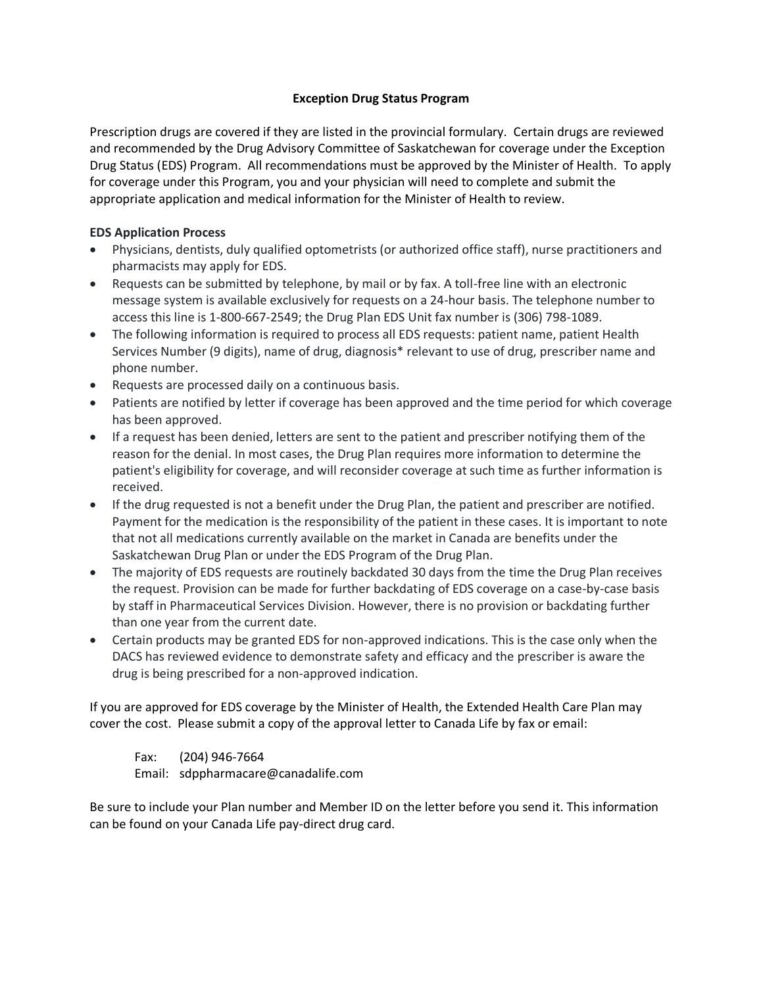## **Exception Drug Status Program**

Prescription drugs are covered if they are listed in the provincial formulary. Certain drugs are reviewed and recommended by the Drug Advisory Committee of Saskatchewan for coverage under the Exception Drug Status (EDS) Program. All recommendations must be approved by the Minister of Health. To apply for coverage under this Program, you and your physician will need to complete and submit the appropriate application and medical information for the Minister of Health to review.

## **EDS Application Process**

- Physicians, dentists, duly qualified optometrists (or authorized office staff), nurse practitioners and pharmacists may apply for EDS.
- Requests can be submitted by telephone, by mail or by fax. A toll-free line with an electronic message system is available exclusively for requests on a 24-hour basis. The telephone number to access this line is 1-800-667-2549; the Drug Plan EDS Unit fax number is (306) 798-1089.
- The following information is required to process all EDS requests: patient name, patient Health Services Number (9 digits), name of drug, diagnosis\* relevant to use of drug, prescriber name and phone number.
- Requests are processed daily on a continuous basis.
- Patients are notified by letter if coverage has been approved and the time period for which coverage has been approved.
- If a request has been denied, letters are sent to the patient and prescriber notifying them of the reason for the denial. In most cases, the Drug Plan requires more information to determine the patient's eligibility for coverage, and will reconsider coverage at such time as further information is received.
- If the drug requested is not a benefit under the Drug Plan, the patient and prescriber are notified. Payment for the medication is the responsibility of the patient in these cases. It is important to note that not all medications currently available on the market in Canada are benefits under the Saskatchewan Drug Plan or under the EDS Program of the Drug Plan.
- The majority of EDS requests are routinely backdated 30 days from the time the Drug Plan receives the request. Provision can be made for further backdating of EDS coverage on a case-by-case basis by staff in Pharmaceutical Services Division. However, there is no provision or backdating further than one year from the current date.
- Certain products may be granted EDS for non-approved indications. This is the case only when the DACS has reviewed evidence to demonstrate safety and efficacy and the prescriber is aware the drug is being prescribed for a non-approved indication.

If you are approved for EDS coverage by the Minister of Health, the Extended Health Care Plan may cover the cost. Please submit a copy of the approval letter to Canada Life by fax or email:

Fax: (204) 946-7664 Email: sdppharmacare@canadalife.com

Be sure to include your Plan number and Member ID on the letter before you send it. This information can be found on your Canada Life pay-direct drug card.